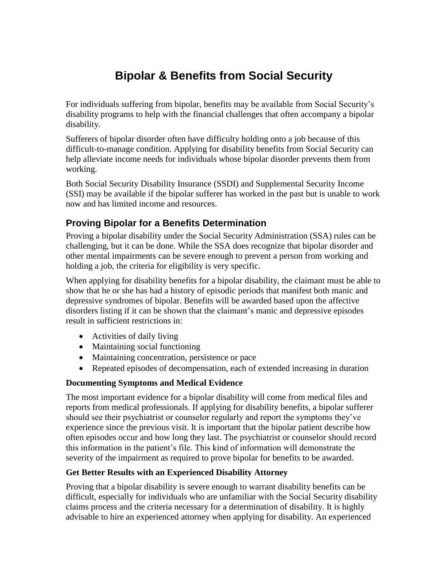# **Bipolar & Benefits from Social Security**

For individuals suffering from bipolar, benefits may be available from Social Security's disability programs to help with the financial challenges that often accompany a bipolar disability.

Sufferers of bipolar disorder often have difficulty holding onto a job because of this difficult-to-manage condition. Applying for disability benefits from Social Security can help alleviate income needs for individuals whose bipolar disorder prevents them from working.

Both Social Security Disability Insurance (SSDI) and Supplemental Security Income (SSI) may be available if the bipolar sufferer has worked in the past but is unable to work now and has limited income and resources.

## **Proving Bipolar for a Benefits Determination**

Proving a bipolar disability under the Social Security Administration (SSA) rules can be challenging, but it can be done. While the SSA does recognize that bipolar disorder and other mental impairments can be severe enough to prevent a person from working and holding a job, the criteria for eligibility is very specific.

When applying for disability benefits for a bipolar disability, the claimant must be able to show that he or she has had a history of episodic periods that manifest both manic and depressive syndromes of bipolar. Benefits will be awarded based upon the affective disorders listing if it can be shown that the claimant's manic and depressive episodes result in sufficient restrictions in:

- Activities of daily living
- Maintaining social functioning
- Maintaining concentration, persistence or pace
- Repeated episodes of decompensation, each of extended increasing in duration

### **Documenting Symptoms and Medical Evidence**

The most important evidence for a bipolar disability will come from medical files and reports from medical professionals. If applying for disability benefits, a bipolar sufferer should see their psychiatrist or counselor regularly and report the symptoms they've experience since the previous visit. It is important that the bipolar patient describe how often episodes occur and how long they last. The psychiatrist or counselor should record this information in the patient's file. This kind of information will demonstrate the severity of the impairment as required to prove bipolar for benefits to be awarded.

### **Get Better Results with an Experienced Disability Attorney**

Proving that a bipolar disability is severe enough to warrant disability benefits can be difficult, especially for individuals who are unfamiliar with the Social Security disability claims process and the criteria necessary for a determination of disability. It is highly advisable to hire an experienced attorney when applying for disability. An experienced